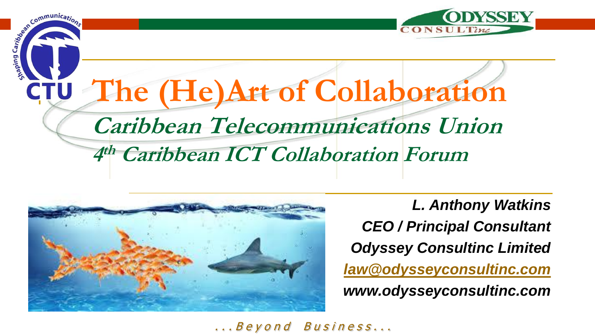

# Communication, The (He)Art of Collaboration **CTU Caribbean Telecommunications Union** 4th Caribbean ICT Collaboration Forum



**L. Anthony Watkins CEO / Principal Consultant Odyssey Consultinc Limited** law@odysseyconsultinc.com www.odysseyconsultinc.com

... Beyond Business...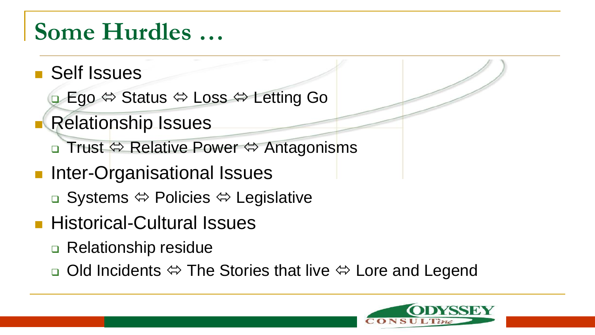### **Some Hurdles …**

- Self Issues
	- **□ Ego**  $\Leftrightarrow$  **Status**  $\Leftrightarrow$  **Loss**  $\Leftrightarrow$  **Letting Go**
- **Relationship Issues** 
	- **□ Trust**  $\Leftrightarrow$  **Relative Power**  $\Leftrightarrow$  **Antagonisms**
- **Inter-Organisational Issues** 
	- **□ Systems**  $\Leftrightarrow$  **Policies**  $\Leftrightarrow$  **Legislative**
- **Historical-Cultural Issues** 
	- □ Relationship residue
	- **D** Old Incidents  $\Leftrightarrow$  The Stories that live  $\Leftrightarrow$  Lore and Legend

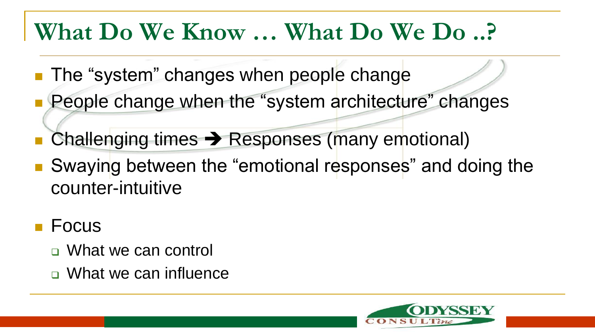### **What Do We Know … What Do We Do ..?**

- **The "system" changes when people change**
- People change when the "system architecture" changes
- Challenging times  $\rightarrow$  Responses (many emotional)
- Swaying between the "emotional responses" and doing the counter-intuitive
- **Focus** 
	- □ What we can control
	- What we can influence

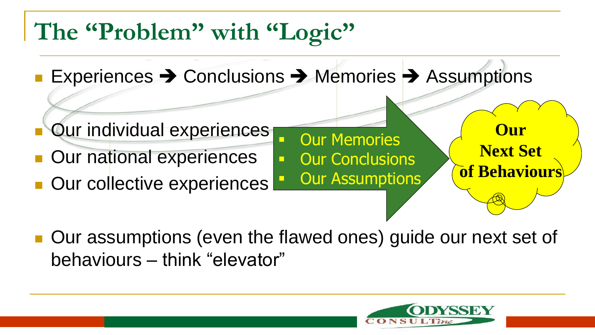## **The "Problem" with "Logic"**

- Experiences  $\rightarrow$  Conclusions  $\rightarrow$  Memories  $\rightarrow$  Assumptions
- **Our individual experiences**
- **Our national experiences**
- Our collective experiences
- Our assumptions (even the flawed ones) guide our next set of behaviours – think "elevator"

Our Memories

**Dur Assumptions** 

Our Conclusions



**Our**

**Next Set**

**of Behaviour**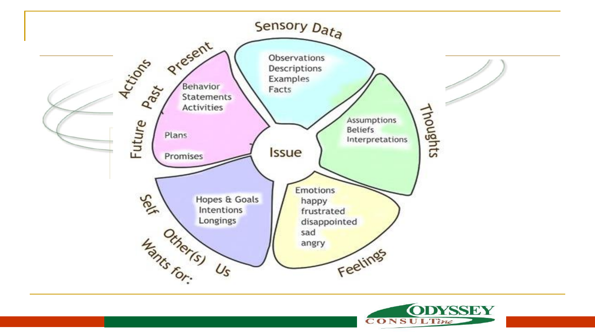

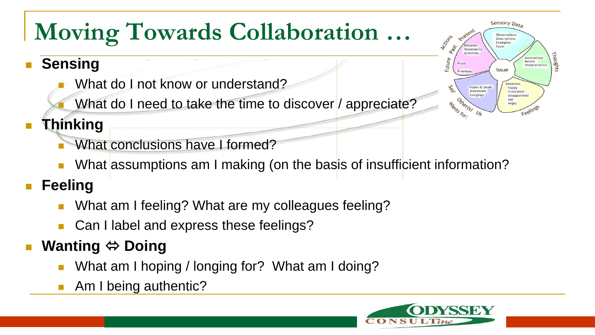# **Moving Towards Collaboration …**

#### **Sensing**

- What do I not know or understand?
- What do I need to take the time to discover / appreciate?



#### **Thinking**

- What conclusions have I formed?
- What assumptions am I making (on the basis of insufficient information?

#### **Feeling**

- What am I feeling? What are my colleagues feeling?
- Can I label and express these feelings?

#### **Wanting ⇔ Doing**

- What am I hoping / longing for? What am I doing?
- Am I being authentic?

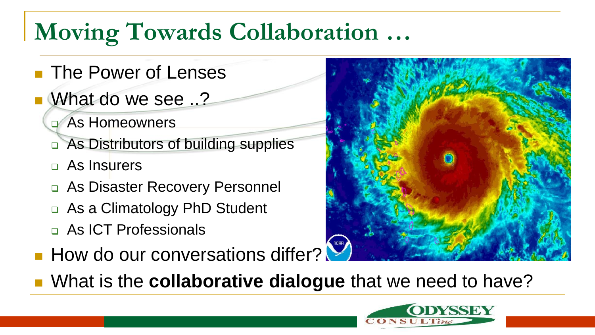# **Moving Towards Collaboration …**

- **The Power of Lenses**
- What do we see ..?
	- As Homeowners
	- □ As Distributors of building supplies
	- As Insurers
	- □ As Disaster Recovery Personnel
	- □ As a Climatology PhD Student
	- As ICT Professionals
- **How do our conversations differ?**
- What is the **collaborative dialogue** that we need to have?



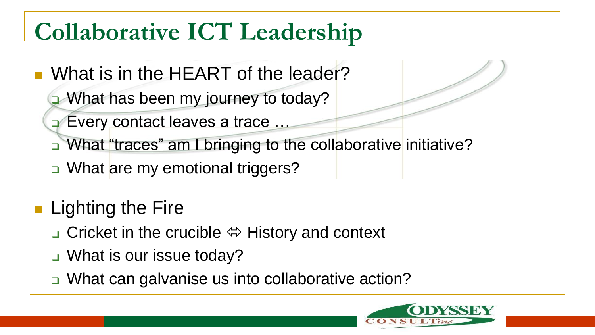## **Collaborative ICT Leadership**

- What is in the HEART of the leader?
	- What has been my journey to today?
	- **Every contact leaves a trace ...**
	- □ What "traces" am I bringing to the collaborative initiative?
	- □ What are my emotional triggers?
- Lighting the Fire
	- $\Box$  Cricket in the crucible  $\Leftrightarrow$  History and context
	- □ What is our issue today?
	- □ What can galvanise us into collaborative action?

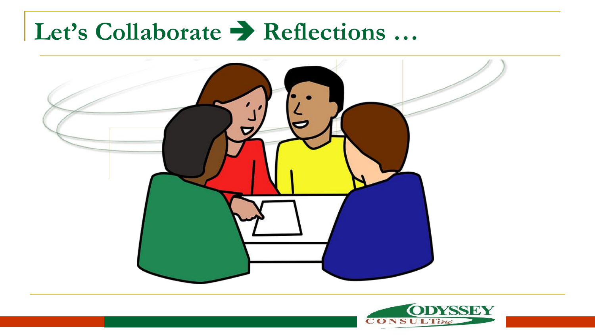### Let's Collaborate  $\rightarrow$  Reflections ...



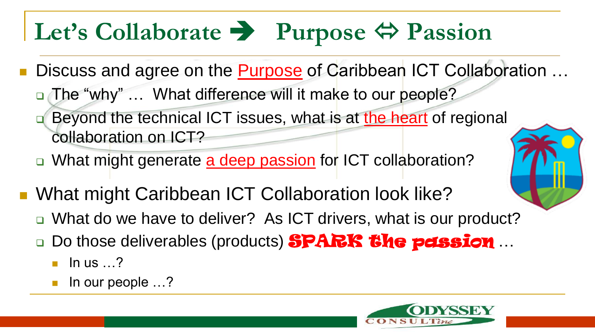# Let's Collaborate **•** Purpose  $\Leftrightarrow$  Passion

- Discuss and agree on the Purpose of Caribbean ICT Collaboration …
	- □ The "why" ... What difference will it make to our people?
	- **Beyond the technical ICT issues, what is at the heart of regional** collaboration on ICT?
	- □ What might generate a deep passion for ICT collaboration?
- What might Caribbean ICT Collaboration look like?
	- What do we have to deliver? As ICT drivers, what is our product?
	- Do those deliverables (products) SPARK the passion ...
		- In us  $\ldots$ ?
		- In our people …?